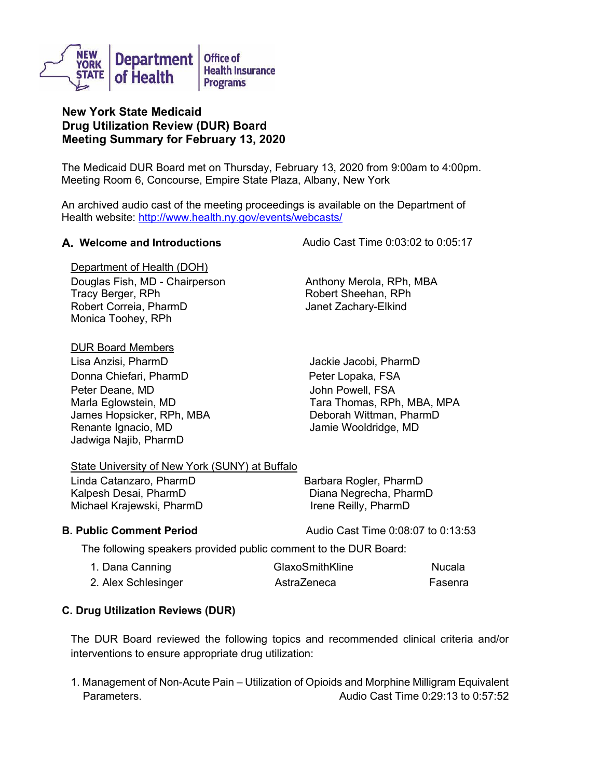

# **New York State Medicaid Drug Utilization Review (DUR) Board Meeting Summary for February 13, 2020**

The Medicaid DUR Board met on Thursday, February 13, 2020 from 9:00am to 4:00pm. Meeting Room 6, Concourse, Empire State Plaza, Albany, New York

An archived audio cast of the meeting proceedings is available on the Department of Health website: <http://www.health.ny.gov/events/webcasts/>

**A. Welcome and Introductions** Audio Cast Time 0:03:02 to 0:05:17

Department of Health (DOH) Douglas Fish, MD - Chairperson Anthony Merola, RPh, MBA Tracy Berger, RPh **Robert Sheehan, RPh** Robert Correia, PharmD Janet Zachary-Elkind Monica Toohey, RPh

### DUR Board Members

Lisa Anzisi, PharmD Jackie Jacobi, PharmD Donna Chiefari, PharmD Peter Lopaka, FSA Peter Deane, MD Marla Eglowstein, MD James Hopsicker, RPh, MBA Renante Ignacio, MD Jadwiga Najib, PharmD

John Powell, FSA Tara Thomas, RPh, MBA, MPA Deborah Wittman, PharmD Jamie Wooldridge, MD

## State University of New York (SUNY) at Buffalo

Linda Catanzaro, PharmD Barbara Rogler, PharmD Kalpesh Desai, PharmD Diana Negrecha, PharmD Michael Krajewski, PharmD Irene Reilly, PharmD

**B. Public Comment Period Cast Time 0:08:07 to 0:13:53** 

The following speakers provided public comment to the DUR Board:

| 1. Dana Canning     | GlaxoSmithKline | Nucala  |
|---------------------|-----------------|---------|
| 2. Alex Schlesinger | AstraZeneca     | Fasenra |

# **C. Drug Utilization Reviews (DUR)**

The DUR Board reviewed the following topics and recommended clinical criteria and/or interventions to ensure appropriate drug utilization:

1. Management of Non-Acute Pain – Utilization of Opioids and Morphine Milligram Equivalent Parameters. Audio Cast Time 0:29:13 to 0:57:52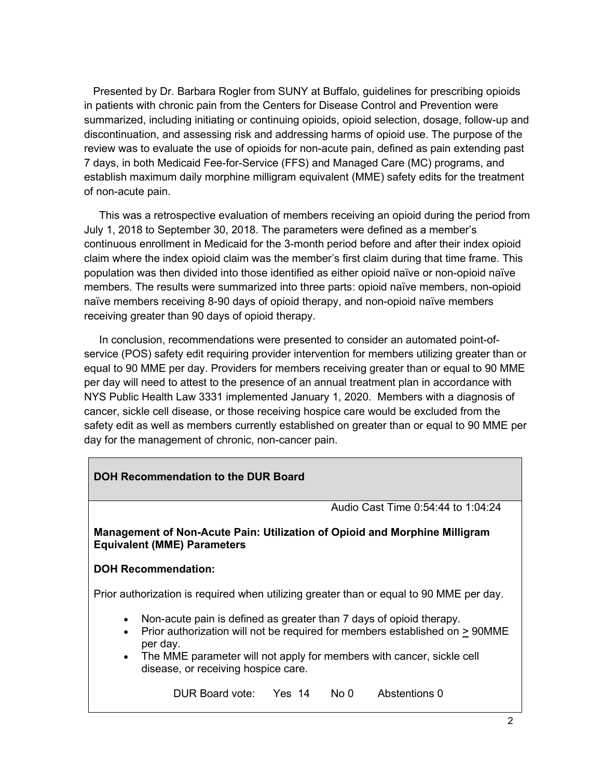Presented by Dr. Barbara Rogler from SUNY at Buffalo, guidelines for prescribing opioids in patients with chronic pain from the Centers for Disease Control and Prevention were summarized, including initiating or continuing opioids, opioid selection, dosage, follow-up and discontinuation, and assessing risk and addressing harms of opioid use. The purpose of the review was to evaluate the use of opioids for non-acute pain, defined as pain extending past 7 days, in both Medicaid Fee-for-Service (FFS) and Managed Care (MC) programs, and establish maximum daily morphine milligram equivalent (MME) safety edits for the treatment of non-acute pain.

 This was a retrospective evaluation of members receiving an opioid during the period from July 1, 2018 to September 30, 2018. The parameters were defined as a member's continuous enrollment in Medicaid for the 3-month period before and after their index opioid claim where the index opioid claim was the member's first claim during that time frame. This population was then divided into those identified as either opioid naïve or non-opioid naïve members. The results were summarized into three parts: opioid naïve members, non-opioid naïve members receiving 8-90 days of opioid therapy, and non-opioid naïve members receiving greater than 90 days of opioid therapy.

 In conclusion, recommendations were presented to consider an automated point-ofservice (POS) safety edit requiring provider intervention for members utilizing greater than or equal to 90 MME per day. Providers for members receiving greater than or equal to 90 MME per day will need to attest to the presence of an annual treatment plan in accordance with NYS Public Health Law 3331 implemented January 1, 2020. Members with a diagnosis of cancer, sickle cell disease, or those receiving hospice care would be excluded from the safety edit as well as members currently established on greater than or equal to 90 MME per day for the management of chronic, non-cancer pain.

| DOH Recommendation to the DUR Board                                                                                                                                                                                                                                 |                                     |  |  |                                                                                         |  |
|---------------------------------------------------------------------------------------------------------------------------------------------------------------------------------------------------------------------------------------------------------------------|-------------------------------------|--|--|-----------------------------------------------------------------------------------------|--|
|                                                                                                                                                                                                                                                                     |                                     |  |  | Audio Cast Time 0:54:44 to 1:04:24                                                      |  |
| Management of Non-Acute Pain: Utilization of Opioid and Morphine Milligram<br><b>Equivalent (MME) Parameters</b>                                                                                                                                                    |                                     |  |  |                                                                                         |  |
| <b>DOH Recommendation:</b>                                                                                                                                                                                                                                          |                                     |  |  |                                                                                         |  |
|                                                                                                                                                                                                                                                                     |                                     |  |  | Prior authorization is required when utilizing greater than or equal to 90 MME per day. |  |
| Non-acute pain is defined as greater than 7 days of opioid therapy.<br>$\bullet$<br>Prior authorization will not be required for members established on > 90MME<br>$\bullet$<br>per day.<br>• The MME parameter will not apply for members with cancer, sickle cell |                                     |  |  |                                                                                         |  |
|                                                                                                                                                                                                                                                                     | disease, or receiving hospice care. |  |  |                                                                                         |  |
|                                                                                                                                                                                                                                                                     | DUR Board vote: Yes 14 No 0         |  |  | Abstentions 0                                                                           |  |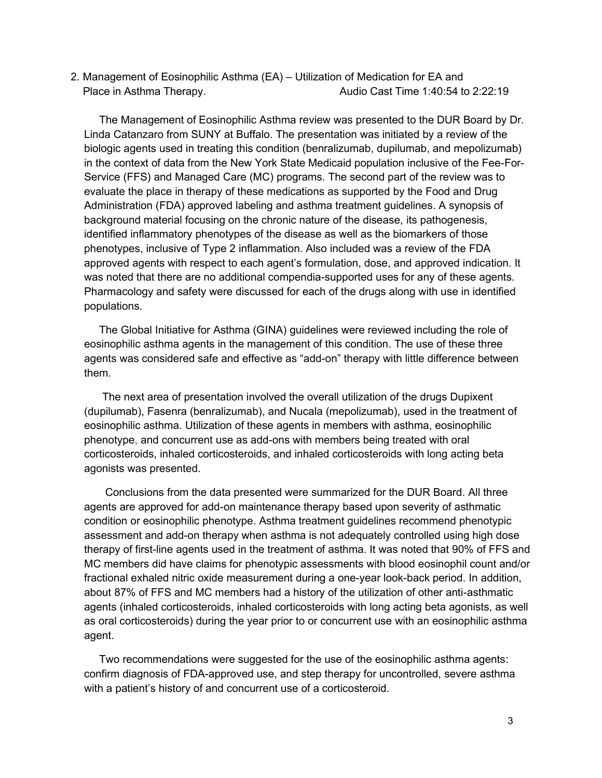2. Management of Eosinophilic Asthma (EA) – Utilization of Medication for EA and Place in Asthma Therapy. The Cast Time 1:40:54 to 2:22:19

 The Management of Eosinophilic Asthma review was presented to the DUR Board by Dr. Linda Catanzaro from SUNY at Buffalo. The presentation was initiated by a review of the biologic agents used in treating this condition (benralizumab, dupilumab, and mepolizumab) in the context of data from the New York State Medicaid population inclusive of the Fee-For-Service (FFS) and Managed Care (MC) programs. The second part of the review was to evaluate the place in therapy of these medications as supported by the Food and Drug Administration (FDA) approved labeling and asthma treatment guidelines. A synopsis of background material focusing on the chronic nature of the disease, its pathogenesis, identified inflammatory phenotypes of the disease as well as the biomarkers of those phenotypes, inclusive of Type 2 inflammation. Also included was a review of the FDA approved agents with respect to each agent's formulation, dose, and approved indication. It was noted that there are no additional compendia-supported uses for any of these agents. Pharmacology and safety were discussed for each of the drugs along with use in identified populations.

 The Global Initiative for Asthma (GINA) guidelines were reviewed including the role of eosinophilic asthma agents in the management of this condition. The use of these three agents was considered safe and effective as "add-on" therapy with little difference between them.

 The next area of presentation involved the overall utilization of the drugs Dupixent (dupilumab), Fasenra (benralizumab), and Nucala (mepolizumab), used in the treatment of eosinophilic asthma. Utilization of these agents in members with asthma, eosinophilic phenotype, and concurrent use as add-ons with members being treated with oral corticosteroids, inhaled corticosteroids, and inhaled corticosteroids with long acting beta agonists was presented.

 Conclusions from the data presented were summarized for the DUR Board. All three agents are approved for add-on maintenance therapy based upon severity of asthmatic condition or eosinophilic phenotype. Asthma treatment guidelines recommend phenotypic assessment and add-on therapy when asthma is not adequately controlled using high dose therapy of first-line agents used in the treatment of asthma. It was noted that 90% of FFS and MC members did have claims for phenotypic assessments with blood eosinophil count and/or fractional exhaled nitric oxide measurement during a one-year look-back period. In addition, about 87% of FFS and MC members had a history of the utilization of other anti-asthmatic agents (inhaled corticosteroids, inhaled corticosteroids with long acting beta agonists, as well as oral corticosteroids) during the year prior to or concurrent use with an eosinophilic asthma agent.

 Two recommendations were suggested for the use of the eosinophilic asthma agents: confirm diagnosis of FDA-approved use, and step therapy for uncontrolled, severe asthma with a patient's history of and concurrent use of a corticosteroid.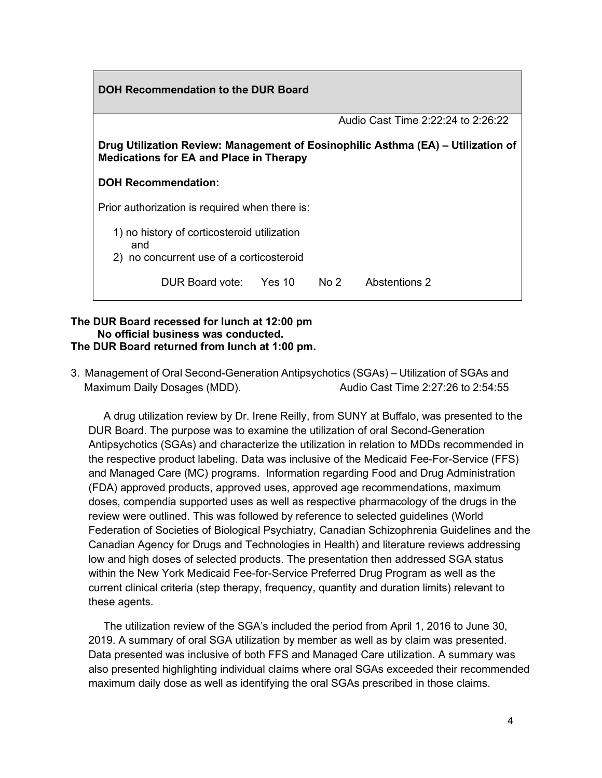| DOH Recommendation to the DUR Board                                                                                                |  |                 |                                    |  |  |
|------------------------------------------------------------------------------------------------------------------------------------|--|-----------------|------------------------------------|--|--|
|                                                                                                                                    |  |                 | Audio Cast Time 2:22:24 to 2:26:22 |  |  |
| Drug Utilization Review: Management of Eosinophilic Asthma (EA) – Utilization of<br><b>Medications for EA and Place in Therapy</b> |  |                 |                                    |  |  |
| <b>DOH Recommendation:</b>                                                                                                         |  |                 |                                    |  |  |
| Prior authorization is required when there is:                                                                                     |  |                 |                                    |  |  |
| 1) no history of corticosteroid utilization<br>and<br>2) no concurrent use of a corticosteroid                                     |  |                 |                                    |  |  |
| DUR Board vote: Yes 10                                                                                                             |  | No <sub>2</sub> | Abstentions 2                      |  |  |

#### **The DUR Board recessed for lunch at 12:00 pm No official business was conducted. The DUR Board returned from lunch at 1:00 pm.**

3. Management of Oral Second-Generation Antipsychotics (SGAs) – Utilization of SGAs and Maximum Daily Dosages (MDD). Audio Cast Time 2:27:26 to 2:54:55

 A drug utilization review by Dr. Irene Reilly, from SUNY at Buffalo, was presented to the DUR Board. The purpose was to examine the utilization of oral Second-Generation Antipsychotics (SGAs) and characterize the utilization in relation to MDDs recommended in the respective product labeling. Data was inclusive of the Medicaid Fee-For-Service (FFS) and Managed Care (MC) programs. Information regarding Food and Drug Administration (FDA) approved products, approved uses, approved age recommendations, maximum doses, compendia supported uses as well as respective pharmacology of the drugs in the review were outlined. This was followed by reference to selected guidelines (World Federation of Societies of Biological Psychiatry, Canadian Schizophrenia Guidelines and the Canadian Agency for Drugs and Technologies in Health) and literature reviews addressing low and high doses of selected products. The presentation then addressed SGA status within the New York Medicaid Fee-for-Service Preferred Drug Program as well as the current clinical criteria (step therapy, frequency, quantity and duration limits) relevant to these agents.

 The utilization review of the SGA's included the period from April 1, 2016 to June 30, 2019. A summary of oral SGA utilization by member as well as by claim was presented. Data presented was inclusive of both FFS and Managed Care utilization. A summary was also presented highlighting individual claims where oral SGAs exceeded their recommended maximum daily dose as well as identifying the oral SGAs prescribed in those claims.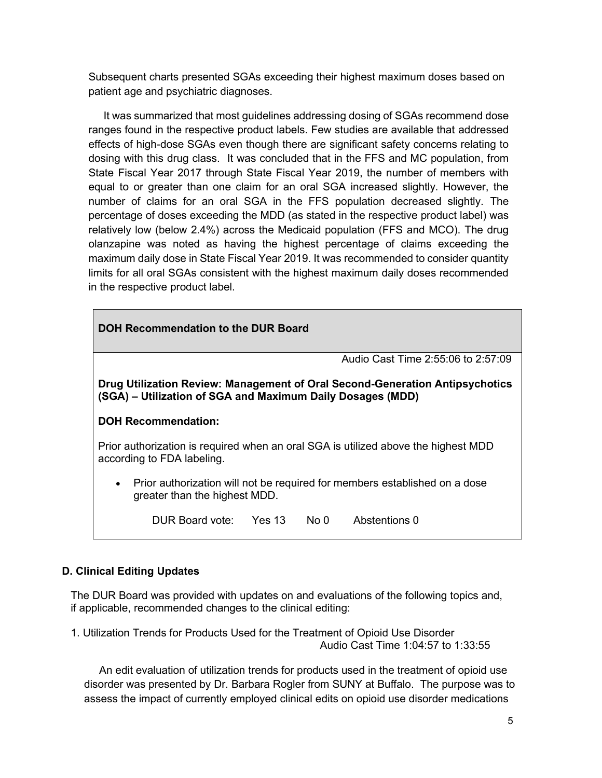Subsequent charts presented SGAs exceeding their highest maximum doses based on patient age and psychiatric diagnoses.

 It was summarized that most guidelines addressing dosing of SGAs recommend dose ranges found in the respective product labels. Few studies are available that addressed effects of high-dose SGAs even though there are significant safety concerns relating to dosing with this drug class. It was concluded that in the FFS and MC population, from State Fiscal Year 2017 through State Fiscal Year 2019, the number of members with equal to or greater than one claim for an oral SGA increased slightly. However, the number of claims for an oral SGA in the FFS population decreased slightly. The percentage of doses exceeding the MDD (as stated in the respective product label) was relatively low (below 2.4%) across the Medicaid population (FFS and MCO). The drug olanzapine was noted as having the highest percentage of claims exceeding the maximum daily dose in State Fiscal Year 2019. It was recommended to consider quantity limits for all oral SGAs consistent with the highest maximum daily doses recommended in the respective product label.

| DOH Recommendation to the DUR Board                                                                                                        |                        |  |      |                                    |  |
|--------------------------------------------------------------------------------------------------------------------------------------------|------------------------|--|------|------------------------------------|--|
|                                                                                                                                            |                        |  |      | Audio Cast Time 2:55:06 to 2:57:09 |  |
| Drug Utilization Review: Management of Oral Second-Generation Antipsychotics<br>(SGA) – Utilization of SGA and Maximum Daily Dosages (MDD) |                        |  |      |                                    |  |
| <b>DOH Recommendation:</b>                                                                                                                 |                        |  |      |                                    |  |
| Prior authorization is required when an oral SGA is utilized above the highest MDD<br>according to FDA labeling.                           |                        |  |      |                                    |  |
| • Prior authorization will not be required for members established on a dose<br>greater than the highest MDD.                              |                        |  |      |                                    |  |
|                                                                                                                                            | DUR Board vote: Yes 13 |  | No 0 | Abstentions 0                      |  |

## **D. Clinical Editing Updates**

The DUR Board was provided with updates on and evaluations of the following topics and, if applicable, recommended changes to the clinical editing:

1. Utilization Trends for Products Used for the Treatment of Opioid Use Disorder Audio Cast Time 1:04:57 to 1:33:55

 An edit evaluation of utilization trends for products used in the treatment of opioid use disorder was presented by Dr. Barbara Rogler from SUNY at Buffalo. The purpose was to assess the impact of currently employed clinical edits on opioid use disorder medications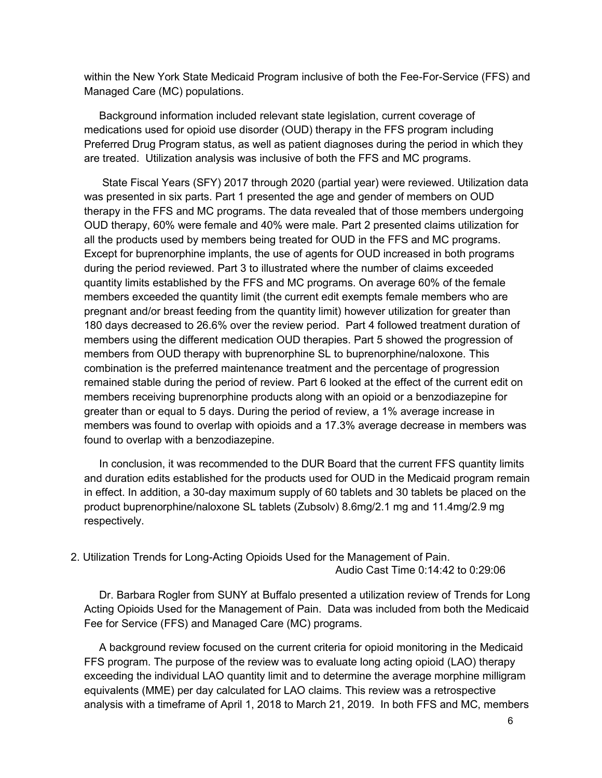within the New York State Medicaid Program inclusive of both the Fee-For-Service (FFS) and Managed Care (MC) populations.

 Background information included relevant state legislation, current coverage of medications used for opioid use disorder (OUD) therapy in the FFS program including Preferred Drug Program status, as well as patient diagnoses during the period in which they are treated. Utilization analysis was inclusive of both the FFS and MC programs.

 State Fiscal Years (SFY) 2017 through 2020 (partial year) were reviewed. Utilization data was presented in six parts. Part 1 presented the age and gender of members on OUD therapy in the FFS and MC programs. The data revealed that of those members undergoing OUD therapy, 60% were female and 40% were male. Part 2 presented claims utilization for all the products used by members being treated for OUD in the FFS and MC programs. Except for buprenorphine implants, the use of agents for OUD increased in both programs during the period reviewed. Part 3 to illustrated where the number of claims exceeded quantity limits established by the FFS and MC programs. On average 60% of the female members exceeded the quantity limit (the current edit exempts female members who are pregnant and/or breast feeding from the quantity limit) however utilization for greater than 180 days decreased to 26.6% over the review period. Part 4 followed treatment duration of members using the different medication OUD therapies. Part 5 showed the progression of members from OUD therapy with buprenorphine SL to buprenorphine/naloxone. This combination is the preferred maintenance treatment and the percentage of progression remained stable during the period of review. Part 6 looked at the effect of the current edit on members receiving buprenorphine products along with an opioid or a benzodiazepine for greater than or equal to 5 days. During the period of review, a 1% average increase in members was found to overlap with opioids and a 17.3% average decrease in members was found to overlap with a benzodiazepine.

 In conclusion, it was recommended to the DUR Board that the current FFS quantity limits and duration edits established for the products used for OUD in the Medicaid program remain in effect. In addition, a 30-day maximum supply of 60 tablets and 30 tablets be placed on the product buprenorphine/naloxone SL tablets (Zubsolv) 8.6mg/2.1 mg and 11.4mg/2.9 mg respectively.

### 2. Utilization Trends for Long-Acting Opioids Used for the Management of Pain. Audio Cast Time 0:14:42 to 0:29:06

 Dr. Barbara Rogler from SUNY at Buffalo presented a utilization review of Trends for Long Acting Opioids Used for the Management of Pain. Data was included from both the Medicaid Fee for Service (FFS) and Managed Care (MC) programs.

 A background review focused on the current criteria for opioid monitoring in the Medicaid FFS program. The purpose of the review was to evaluate long acting opioid (LAO) therapy exceeding the individual LAO quantity limit and to determine the average morphine milligram equivalents (MME) per day calculated for LAO claims. This review was a retrospective analysis with a timeframe of April 1, 2018 to March 21, 2019. In both FFS and MC, members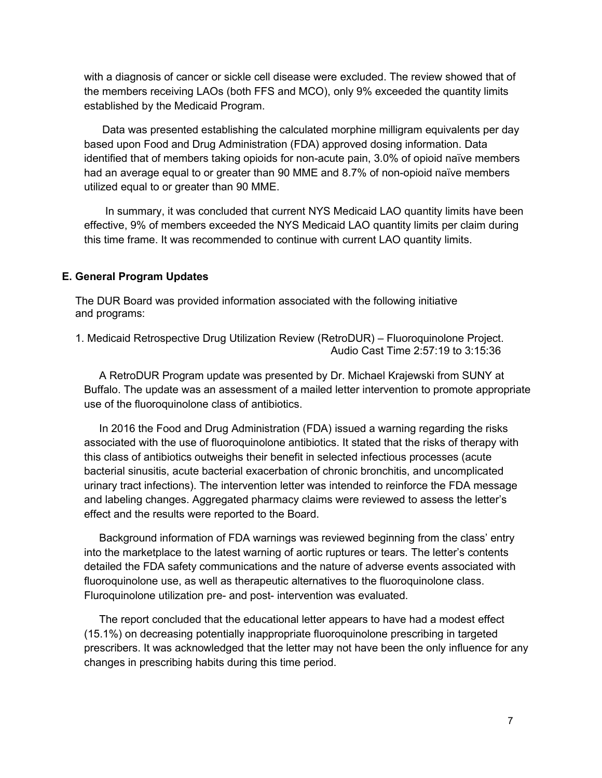with a diagnosis of cancer or sickle cell disease were excluded. The review showed that of the members receiving LAOs (both FFS and MCO), only 9% exceeded the quantity limits established by the Medicaid Program.

 Data was presented establishing the calculated morphine milligram equivalents per day based upon Food and Drug Administration (FDA) approved dosing information. Data identified that of members taking opioids for non-acute pain, 3.0% of opioid naïve members had an average equal to or greater than 90 MME and 8.7% of non-opioid naïve members utilized equal to or greater than 90 MME.

 In summary, it was concluded that current NYS Medicaid LAO quantity limits have been effective, 9% of members exceeded the NYS Medicaid LAO quantity limits per claim during this time frame. It was recommended to continue with current LAO quantity limits.

### **E. General Program Updates**

The DUR Board was provided information associated with the following initiative and programs:

1. Medicaid Retrospective Drug Utilization Review (RetroDUR) – Fluoroquinolone Project. Audio Cast Time 2:57:19 to 3:15:36

 A RetroDUR Program update was presented by Dr. Michael Krajewski from SUNY at Buffalo. The update was an assessment of a mailed letter intervention to promote appropriate use of the fluoroquinolone class of antibiotics.

 In 2016 the Food and Drug Administration (FDA) issued a warning regarding the risks associated with the use of fluoroquinolone antibiotics. It stated that the risks of therapy with this class of antibiotics outweighs their benefit in selected infectious processes (acute bacterial sinusitis, acute bacterial exacerbation of chronic bronchitis, and uncomplicated urinary tract infections). The intervention letter was intended to reinforce the FDA message and labeling changes. Aggregated pharmacy claims were reviewed to assess the letter's effect and the results were reported to the Board.

 Background information of FDA warnings was reviewed beginning from the class' entry into the marketplace to the latest warning of aortic ruptures or tears. The letter's contents detailed the FDA safety communications and the nature of adverse events associated with fluoroquinolone use, as well as therapeutic alternatives to the fluoroquinolone class. Fluroquinolone utilization pre- and post- intervention was evaluated.

 The report concluded that the educational letter appears to have had a modest effect (15.1%) on decreasing potentially inappropriate fluoroquinolone prescribing in targeted prescribers. It was acknowledged that the letter may not have been the only influence for any changes in prescribing habits during this time period.